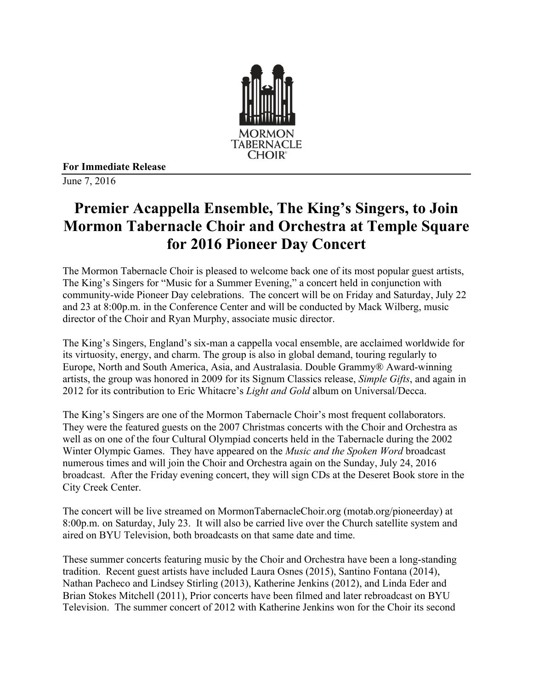

**For Immediate Release**

June 7, 2016

## **Premier Acappella Ensemble, The King's Singers, to Join Mormon Tabernacle Choir and Orchestra at Temple Square for 2016 Pioneer Day Concert**

The Mormon Tabernacle Choir is pleased to welcome back one of its most popular guest artists, The King's Singers for "Music for a Summer Evening," a concert held in conjunction with community-wide Pioneer Day celebrations. The concert will be on Friday and Saturday, July 22 and 23 at 8:00p.m. in the Conference Center and will be conducted by Mack Wilberg, music director of the Choir and Ryan Murphy, associate music director.

The King's Singers, England's six-man a cappella vocal ensemble, are acclaimed worldwide for its virtuosity, energy, and charm. The group is also in global demand, touring regularly to Europe, North and South America, Asia, and Australasia. Double Grammy® Award-winning artists, the group was honored in 2009 for its Signum Classics release, *Simple Gifts*, and again in 2012 for its contribution to Eric Whitacre's *Light and Gold* album on Universal/Decca.

The King's Singers are one of the Mormon Tabernacle Choir's most frequent collaborators. They were the featured guests on the 2007 Christmas concerts with the Choir and Orchestra as well as on one of the four Cultural Olympiad concerts held in the Tabernacle during the 2002 Winter Olympic Games. They have appeared on the *Music and the Spoken Word* broadcast numerous times and will join the Choir and Orchestra again on the Sunday, July 24, 2016 broadcast. After the Friday evening concert, they will sign CDs at the Deseret Book store in the City Creek Center.

The concert will be live streamed on MormonTabernacleChoir.org (motab.org/pioneerday) at 8:00p.m. on Saturday, July 23. It will also be carried live over the Church satellite system and aired on BYU Television, both broadcasts on that same date and time.

These summer concerts featuring music by the Choir and Orchestra have been a long-standing tradition. Recent guest artists have included Laura Osnes (2015), Santino Fontana (2014), Nathan Pacheco and Lindsey Stirling (2013), Katherine Jenkins (2012), and Linda Eder and Brian Stokes Mitchell (2011), Prior concerts have been filmed and later rebroadcast on BYU Television. The summer concert of 2012 with Katherine Jenkins won for the Choir its second